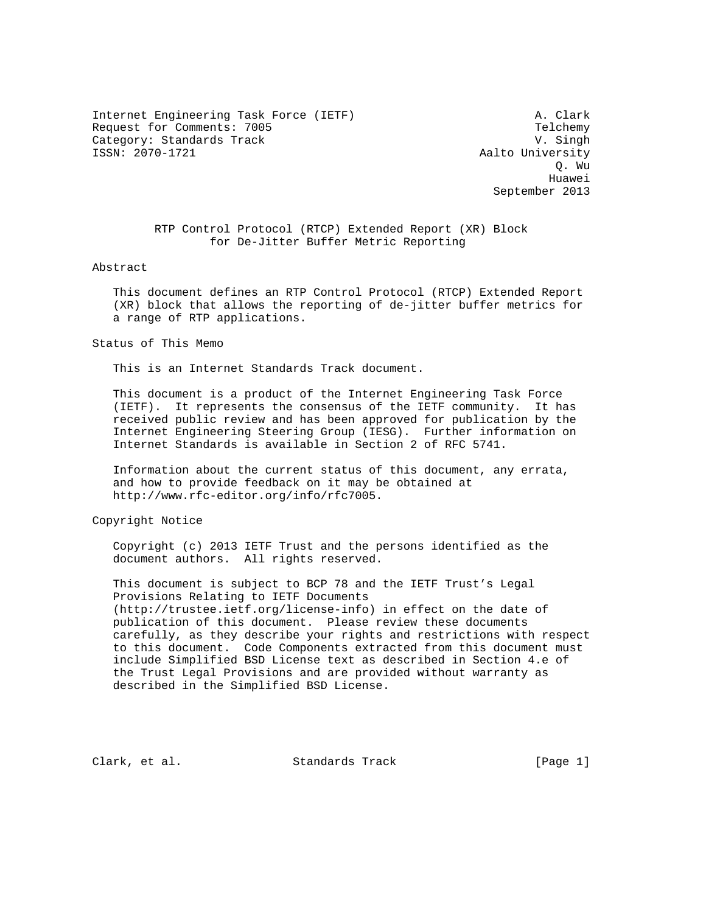Internet Engineering Task Force (IETF) A. Clark Request for Comments: 7005 Telchemy Category: Standards Track V. Singh

Aalto University Q. Wu he distributed by the control of the control of the control of the control of the control of the control of the control of the control of the control of the control of the control of the control of the control of the contr September 2013

> RTP Control Protocol (RTCP) Extended Report (XR) Block for De-Jitter Buffer Metric Reporting

Abstract

 This document defines an RTP Control Protocol (RTCP) Extended Report (XR) block that allows the reporting of de-jitter buffer metrics for a range of RTP applications.

Status of This Memo

This is an Internet Standards Track document.

 This document is a product of the Internet Engineering Task Force (IETF). It represents the consensus of the IETF community. It has received public review and has been approved for publication by the Internet Engineering Steering Group (IESG). Further information on Internet Standards is available in Section 2 of RFC 5741.

 Information about the current status of this document, any errata, and how to provide feedback on it may be obtained at http://www.rfc-editor.org/info/rfc7005.

Copyright Notice

 Copyright (c) 2013 IETF Trust and the persons identified as the document authors. All rights reserved.

 This document is subject to BCP 78 and the IETF Trust's Legal Provisions Relating to IETF Documents (http://trustee.ietf.org/license-info) in effect on the date of publication of this document. Please review these documents carefully, as they describe your rights and restrictions with respect to this document. Code Components extracted from this document must include Simplified BSD License text as described in Section 4.e of the Trust Legal Provisions and are provided without warranty as described in the Simplified BSD License.

Clark, et al. Standards Track [Page 1]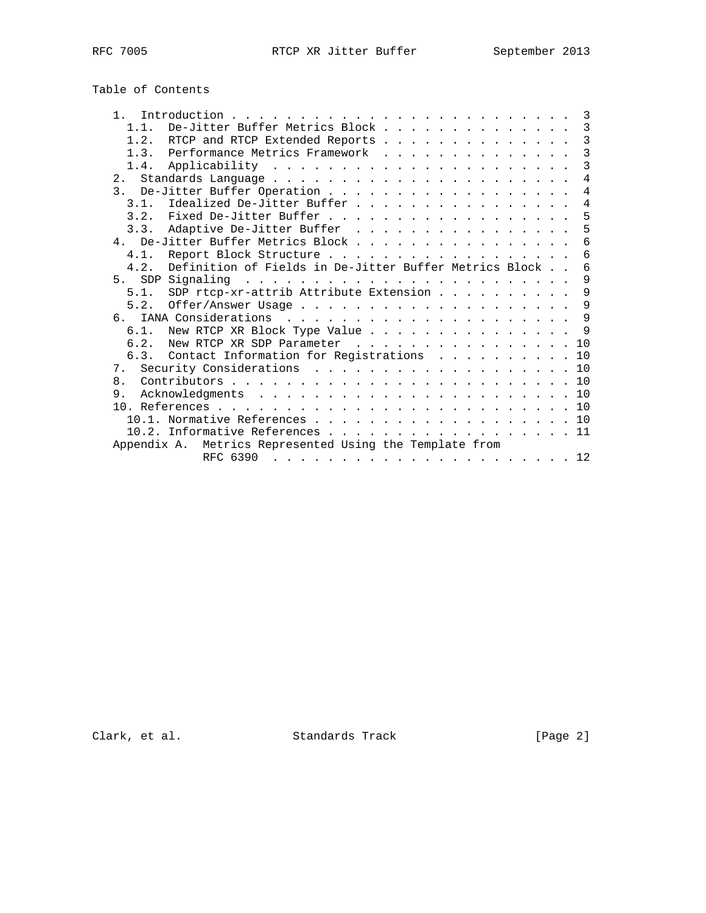# Table of Contents

| 1 <sup>1</sup>   |                                                         |  |  | 3              |
|------------------|---------------------------------------------------------|--|--|----------------|
| 1.1.             | De-Jitter Buffer Metrics Block                          |  |  | 3              |
|                  | 1.2. RTCP and RTCP Extended Reports                     |  |  | $\mathcal{E}$  |
| 1.3.             | Performance Metrics Framework                           |  |  | 3              |
|                  |                                                         |  |  | 3              |
|                  |                                                         |  |  | $\overline{4}$ |
|                  | 3. De-Jitter Buffer Operation                           |  |  | 4              |
|                  | 3.1. Idealized De-Jitter Buffer                         |  |  | 4              |
|                  | 3.2. Fixed De-Jitter Buffer                             |  |  | 5              |
| 3.3.             | Adaptive De-Jitter Buffer                               |  |  | 5              |
|                  | 4. De-Jitter Buffer Metrics Block                       |  |  | 6              |
| 4.1.             | Report Block Structure                                  |  |  | 6              |
| 4.2.             | Definition of Fields in De-Jitter Buffer Metrics Block  |  |  | 6              |
| 5.               |                                                         |  |  | 9              |
| 5.1.             | SDP rtcp-xr-attrib Attribute Extension                  |  |  | 9              |
| 5.2.             |                                                         |  |  | 9              |
| $6 \overline{6}$ |                                                         |  |  | 9              |
| 6.1.             | New RTCP XR Block Type Value                            |  |  | - 9            |
| 6.2.             | New RTCP XR SDP Parameter                               |  |  | 10             |
|                  | 6.3. Contact Information for Registrations              |  |  | 10             |
| 7.               | Security Considerations 10                              |  |  |                |
| 8 <sub>1</sub>   |                                                         |  |  | 10             |
| 9.               |                                                         |  |  |                |
|                  |                                                         |  |  |                |
|                  | 10.1. Normative References 10                           |  |  |                |
|                  | 10.2. Informative References 11                         |  |  |                |
|                  | Appendix A. Metrics Represented Using the Template from |  |  |                |
|                  | RFC 6390                                                |  |  |                |

Clark, et al. Standards Track [Page 2]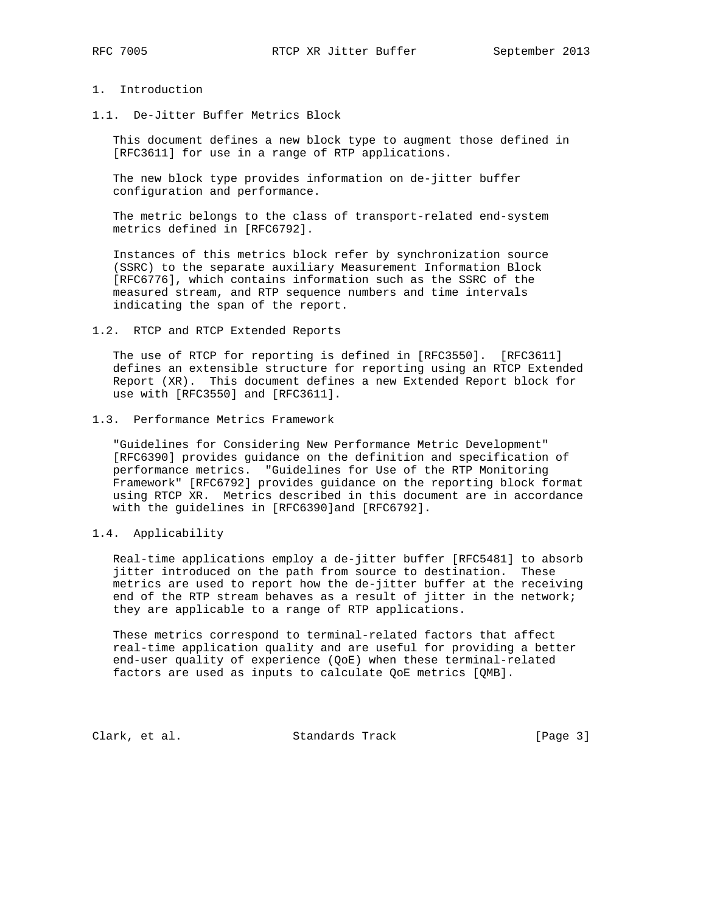# 1. Introduction

1.1. De-Jitter Buffer Metrics Block

 This document defines a new block type to augment those defined in [RFC3611] for use in a range of RTP applications.

 The new block type provides information on de-jitter buffer configuration and performance.

 The metric belongs to the class of transport-related end-system metrics defined in [RFC6792].

 Instances of this metrics block refer by synchronization source (SSRC) to the separate auxiliary Measurement Information Block [RFC6776], which contains information such as the SSRC of the measured stream, and RTP sequence numbers and time intervals indicating the span of the report.

1.2. RTCP and RTCP Extended Reports

 The use of RTCP for reporting is defined in [RFC3550]. [RFC3611] defines an extensible structure for reporting using an RTCP Extended Report (XR). This document defines a new Extended Report block for use with [RFC3550] and [RFC3611].

1.3. Performance Metrics Framework

 "Guidelines for Considering New Performance Metric Development" [RFC6390] provides guidance on the definition and specification of performance metrics. "Guidelines for Use of the RTP Monitoring Framework" [RFC6792] provides guidance on the reporting block format using RTCP XR. Metrics described in this document are in accordance with the guidelines in [RFC6390]and [RFC6792].

# 1.4. Applicability

 Real-time applications employ a de-jitter buffer [RFC5481] to absorb jitter introduced on the path from source to destination. These metrics are used to report how the de-jitter buffer at the receiving end of the RTP stream behaves as a result of jitter in the network; they are applicable to a range of RTP applications.

 These metrics correspond to terminal-related factors that affect real-time application quality and are useful for providing a better end-user quality of experience (QoE) when these terminal-related factors are used as inputs to calculate QoE metrics [QMB].

Clark, et al. Standards Track [Page 3]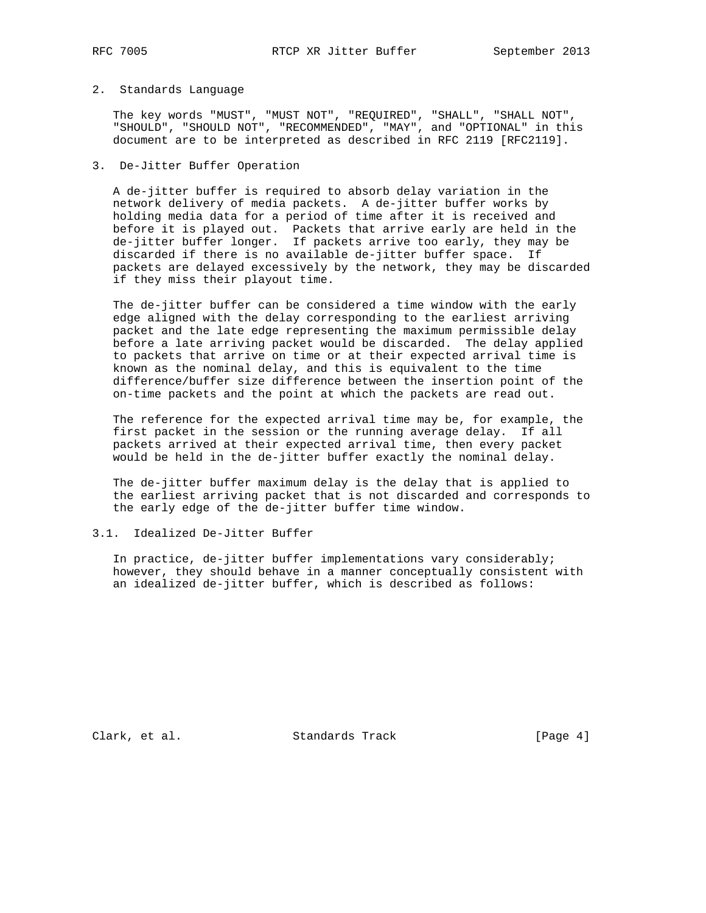#### 2. Standards Language

 The key words "MUST", "MUST NOT", "REQUIRED", "SHALL", "SHALL NOT", "SHOULD", "SHOULD NOT", "RECOMMENDED", "MAY", and "OPTIONAL" in this document are to be interpreted as described in RFC 2119 [RFC2119].

## 3. De-Jitter Buffer Operation

 A de-jitter buffer is required to absorb delay variation in the network delivery of media packets. A de-jitter buffer works by holding media data for a period of time after it is received and before it is played out. Packets that arrive early are held in the de-jitter buffer longer. If packets arrive too early, they may be discarded if there is no available de-jitter buffer space. If packets are delayed excessively by the network, they may be discarded if they miss their playout time.

 The de-jitter buffer can be considered a time window with the early edge aligned with the delay corresponding to the earliest arriving packet and the late edge representing the maximum permissible delay before a late arriving packet would be discarded. The delay applied to packets that arrive on time or at their expected arrival time is known as the nominal delay, and this is equivalent to the time difference/buffer size difference between the insertion point of the on-time packets and the point at which the packets are read out.

 The reference for the expected arrival time may be, for example, the first packet in the session or the running average delay. If all packets arrived at their expected arrival time, then every packet would be held in the de-jitter buffer exactly the nominal delay.

 The de-jitter buffer maximum delay is the delay that is applied to the earliest arriving packet that is not discarded and corresponds to the early edge of the de-jitter buffer time window.

## 3.1. Idealized De-Jitter Buffer

 In practice, de-jitter buffer implementations vary considerably; however, they should behave in a manner conceptually consistent with an idealized de-jitter buffer, which is described as follows:

Clark, et al. Standards Track [Page 4]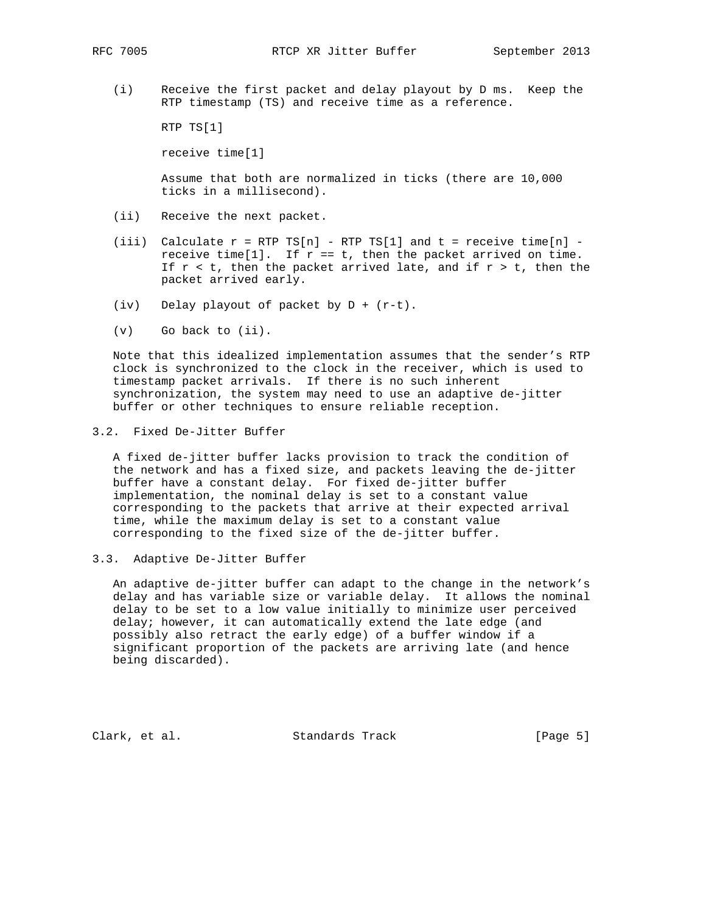(i) Receive the first packet and delay playout by D ms. Keep the RTP timestamp (TS) and receive time as a reference.

RTP TS[1]

receive time[1]

 Assume that both are normalized in ticks (there are 10,000 ticks in a millisecond).

- (ii) Receive the next packet.
- (iii) Calculate  $r = RTP TS[n] RTP TS[1]$  and  $t = receive time[n]$ receive time[1]. If  $r == t$ , then the packet arrived on time. If  $r < t$ , then the packet arrived late, and if  $r > t$ , then the packet arrived early.
- (iv) Delay playout of packet by  $D + (r-t)$ .
- (v) Go back to (ii).

 Note that this idealized implementation assumes that the sender's RTP clock is synchronized to the clock in the receiver, which is used to timestamp packet arrivals. If there is no such inherent synchronization, the system may need to use an adaptive de-jitter buffer or other techniques to ensure reliable reception.

#### 3.2. Fixed De-Jitter Buffer

 A fixed de-jitter buffer lacks provision to track the condition of the network and has a fixed size, and packets leaving the de-jitter buffer have a constant delay. For fixed de-jitter buffer implementation, the nominal delay is set to a constant value corresponding to the packets that arrive at their expected arrival time, while the maximum delay is set to a constant value corresponding to the fixed size of the de-jitter buffer.

3.3. Adaptive De-Jitter Buffer

 An adaptive de-jitter buffer can adapt to the change in the network's delay and has variable size or variable delay. It allows the nominal delay to be set to a low value initially to minimize user perceived delay; however, it can automatically extend the late edge (and possibly also retract the early edge) of a buffer window if a significant proportion of the packets are arriving late (and hence being discarded).

Clark, et al. Standards Track [Page 5]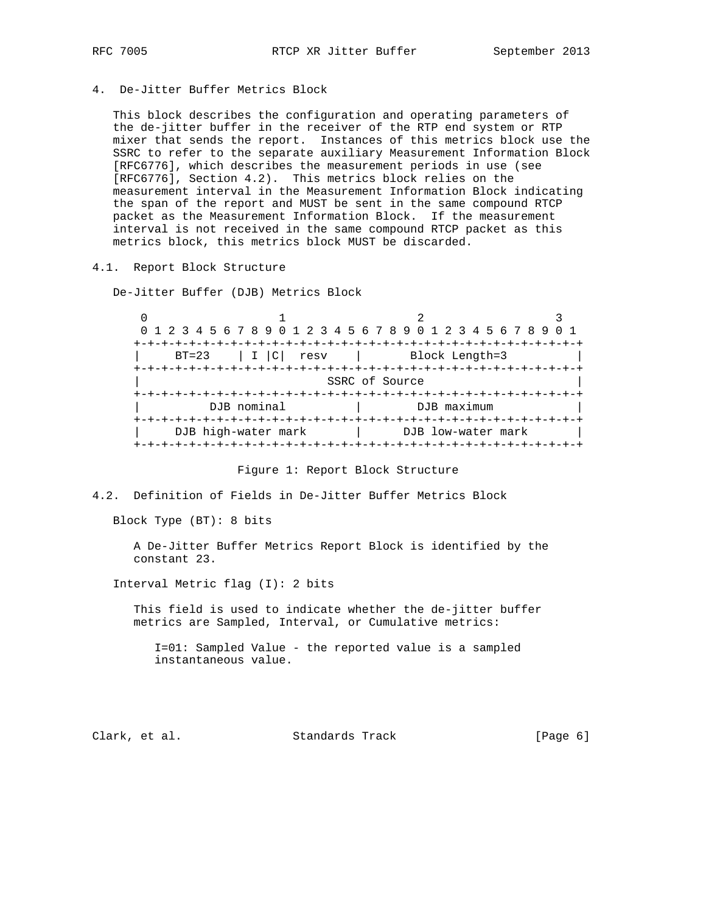4. De-Jitter Buffer Metrics Block

 This block describes the configuration and operating parameters of the de-jitter buffer in the receiver of the RTP end system or RTP mixer that sends the report. Instances of this metrics block use the SSRC to refer to the separate auxiliary Measurement Information Block [RFC6776], which describes the measurement periods in use (see [RFC6776], Section 4.2). This metrics block relies on the measurement interval in the Measurement Information Block indicating the span of the report and MUST be sent in the same compound RTCP packet as the Measurement Information Block. If the measurement interval is not received in the same compound RTCP packet as this metrics block, this metrics block MUST be discarded.

4.1. Report Block Structure

De-Jitter Buffer (DJB) Metrics Block

 $0$  1 2 3 0 1 2 3 4 5 6 7 8 9 0 1 2 3 4 5 6 7 8 9 0 1 2 3 4 5 6 7 8 9 0 1 +-+-+-+-+-+-+-+-+-+-+-+-+-+-+-+-+-+-+-+-+-+-+-+-+-+-+-+-+-+-+-+-+ | BT=23 | I |C| resv | Block Length=3 | +-+-+-+-+-+-+-+-+-+-+-+-+-+-+-+-+-+-+-+-+-+-+-+-+-+-+-+-+-+-+-+-+ SSRC of Source +-+-+-+-+-+-+-+-+-+-+-+-+-+-+-+-+-+-+-+-+-+-+-+-+-+-+-+-+-+-+-+-+ DJB nominal | DJB maximum +-+-+-+-+-+-+-+-+-+-+-+-+-+-+-+-+-+-+-+-+-+-+-+-+-+-+-+-+-+-+-+-+ | DJB high-water mark | DJB low-water mark +-+-+-+-+-+-+-+-+-+-+-+-+-+-+-+-+-+-+-+-+-+-+-+-+-+-+-+-+-+-+-+-+

Figure 1: Report Block Structure

4.2. Definition of Fields in De-Jitter Buffer Metrics Block

Block Type (BT): 8 bits

 A De-Jitter Buffer Metrics Report Block is identified by the constant 23.

Interval Metric flag (I): 2 bits

 This field is used to indicate whether the de-jitter buffer metrics are Sampled, Interval, or Cumulative metrics:

 I=01: Sampled Value - the reported value is a sampled instantaneous value.

Clark, et al. Standards Track [Page 6]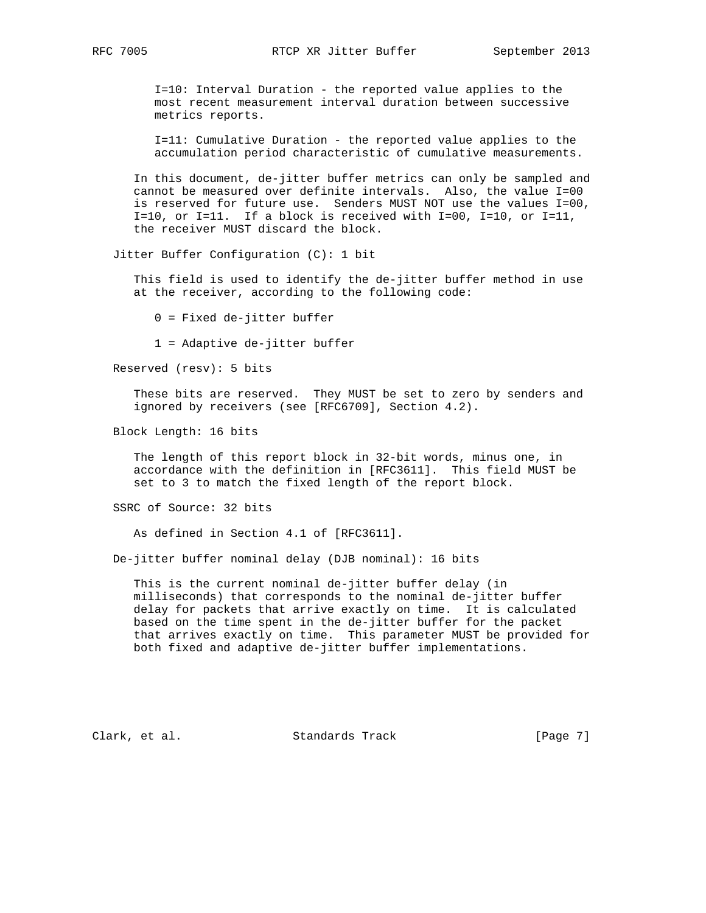I=10: Interval Duration - the reported value applies to the most recent measurement interval duration between successive metrics reports.

 I=11: Cumulative Duration - the reported value applies to the accumulation period characteristic of cumulative measurements.

 In this document, de-jitter buffer metrics can only be sampled and cannot be measured over definite intervals. Also, the value I=00 is reserved for future use. Senders MUST NOT use the values I=00, I=10, or I=11. If a block is received with I=00, I=10, or I=11, the receiver MUST discard the block.

Jitter Buffer Configuration (C): 1 bit

 This field is used to identify the de-jitter buffer method in use at the receiver, according to the following code:

0 = Fixed de-jitter buffer

1 = Adaptive de-jitter buffer

Reserved (resv): 5 bits

 These bits are reserved. They MUST be set to zero by senders and ignored by receivers (see [RFC6709], Section 4.2).

Block Length: 16 bits

 The length of this report block in 32-bit words, minus one, in accordance with the definition in [RFC3611]. This field MUST be set to 3 to match the fixed length of the report block.

SSRC of Source: 32 bits

As defined in Section 4.1 of [RFC3611].

De-jitter buffer nominal delay (DJB nominal): 16 bits

 This is the current nominal de-jitter buffer delay (in milliseconds) that corresponds to the nominal de-jitter buffer delay for packets that arrive exactly on time. It is calculated based on the time spent in the de-jitter buffer for the packet that arrives exactly on time. This parameter MUST be provided for both fixed and adaptive de-jitter buffer implementations.

Clark, et al. Standards Track [Page 7]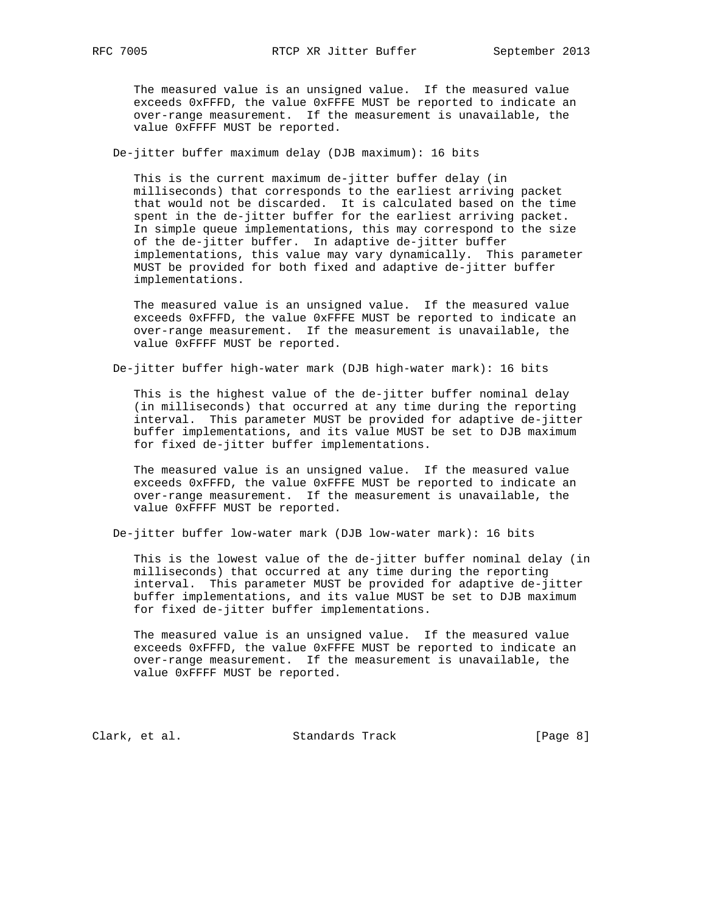The measured value is an unsigned value. If the measured value exceeds 0xFFFD, the value 0xFFFE MUST be reported to indicate an over-range measurement. If the measurement is unavailable, the value 0xFFFF MUST be reported.

De-jitter buffer maximum delay (DJB maximum): 16 bits

 This is the current maximum de-jitter buffer delay (in milliseconds) that corresponds to the earliest arriving packet that would not be discarded. It is calculated based on the time spent in the de-jitter buffer for the earliest arriving packet. In simple queue implementations, this may correspond to the size of the de-jitter buffer. In adaptive de-jitter buffer implementations, this value may vary dynamically. This parameter MUST be provided for both fixed and adaptive de-jitter buffer implementations.

 The measured value is an unsigned value. If the measured value exceeds 0xFFFD, the value 0xFFFE MUST be reported to indicate an over-range measurement. If the measurement is unavailable, the value 0xFFFF MUST be reported.

De-jitter buffer high-water mark (DJB high-water mark): 16 bits

 This is the highest value of the de-jitter buffer nominal delay (in milliseconds) that occurred at any time during the reporting interval. This parameter MUST be provided for adaptive de-jitter buffer implementations, and its value MUST be set to DJB maximum for fixed de-jitter buffer implementations.

 The measured value is an unsigned value. If the measured value exceeds 0xFFFD, the value 0xFFFE MUST be reported to indicate an over-range measurement. If the measurement is unavailable, the value 0xFFFF MUST be reported.

De-jitter buffer low-water mark (DJB low-water mark): 16 bits

 This is the lowest value of the de-jitter buffer nominal delay (in milliseconds) that occurred at any time during the reporting interval. This parameter MUST be provided for adaptive de-jitter buffer implementations, and its value MUST be set to DJB maximum for fixed de-jitter buffer implementations.

 The measured value is an unsigned value. If the measured value exceeds 0xFFFD, the value 0xFFFE MUST be reported to indicate an over-range measurement. If the measurement is unavailable, the value 0xFFFF MUST be reported.

Clark, et al. Standards Track [Page 8]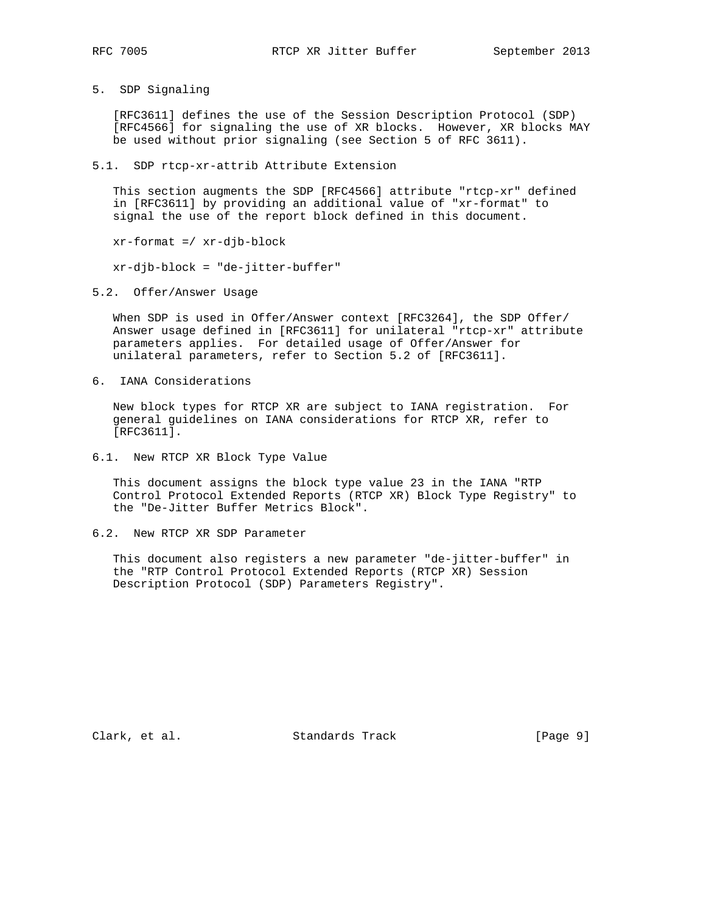- 
- 5. SDP Signaling

 [RFC3611] defines the use of the Session Description Protocol (SDP) [RFC4566] for signaling the use of XR blocks. However, XR blocks MAY be used without prior signaling (see Section 5 of RFC 3611).

5.1. SDP rtcp-xr-attrib Attribute Extension

 This section augments the SDP [RFC4566] attribute "rtcp-xr" defined in [RFC3611] by providing an additional value of "xr-format" to signal the use of the report block defined in this document.

xr-format =/ xr-djb-block

xr-djb-block = "de-jitter-buffer"

5.2. Offer/Answer Usage

 When SDP is used in Offer/Answer context [RFC3264], the SDP Offer/ Answer usage defined in [RFC3611] for unilateral "rtcp-xr" attribute parameters applies. For detailed usage of Offer/Answer for unilateral parameters, refer to Section 5.2 of [RFC3611].

6. IANA Considerations

 New block types for RTCP XR are subject to IANA registration. For general guidelines on IANA considerations for RTCP XR, refer to [RFC3611].

6.1. New RTCP XR Block Type Value

 This document assigns the block type value 23 in the IANA "RTP Control Protocol Extended Reports (RTCP XR) Block Type Registry" to the "De-Jitter Buffer Metrics Block".

6.2. New RTCP XR SDP Parameter

 This document also registers a new parameter "de-jitter-buffer" in the "RTP Control Protocol Extended Reports (RTCP XR) Session Description Protocol (SDP) Parameters Registry".

Clark, et al. Standards Track [Page 9]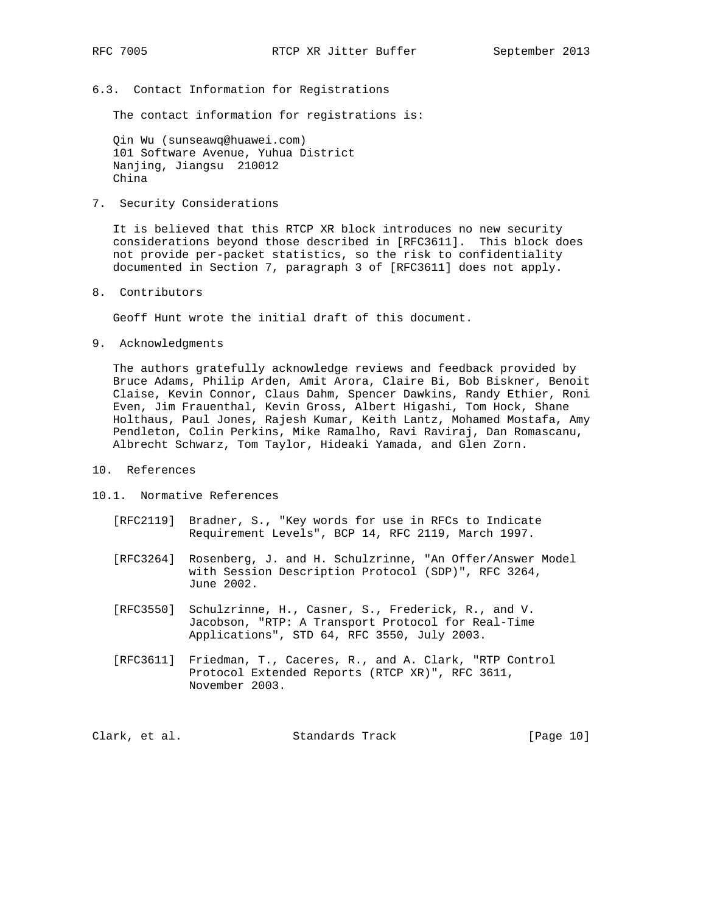6.3. Contact Information for Registrations

The contact information for registrations is:

 Qin Wu (sunseawq@huawei.com) 101 Software Avenue, Yuhua District Nanjing, Jiangsu 210012 China

7. Security Considerations

 It is believed that this RTCP XR block introduces no new security considerations beyond those described in [RFC3611]. This block does not provide per-packet statistics, so the risk to confidentiality documented in Section 7, paragraph 3 of [RFC3611] does not apply.

8. Contributors

Geoff Hunt wrote the initial draft of this document.

9. Acknowledgments

 The authors gratefully acknowledge reviews and feedback provided by Bruce Adams, Philip Arden, Amit Arora, Claire Bi, Bob Biskner, Benoit Claise, Kevin Connor, Claus Dahm, Spencer Dawkins, Randy Ethier, Roni Even, Jim Frauenthal, Kevin Gross, Albert Higashi, Tom Hock, Shane Holthaus, Paul Jones, Rajesh Kumar, Keith Lantz, Mohamed Mostafa, Amy Pendleton, Colin Perkins, Mike Ramalho, Ravi Raviraj, Dan Romascanu, Albrecht Schwarz, Tom Taylor, Hideaki Yamada, and Glen Zorn.

- 10. References
- 10.1. Normative References
	- [RFC2119] Bradner, S., "Key words for use in RFCs to Indicate Requirement Levels", BCP 14, RFC 2119, March 1997.
	- [RFC3264] Rosenberg, J. and H. Schulzrinne, "An Offer/Answer Model with Session Description Protocol (SDP)", RFC 3264, June 2002.
	- [RFC3550] Schulzrinne, H., Casner, S., Frederick, R., and V. Jacobson, "RTP: A Transport Protocol for Real-Time Applications", STD 64, RFC 3550, July 2003.
	- [RFC3611] Friedman, T., Caceres, R., and A. Clark, "RTP Control Protocol Extended Reports (RTCP XR)", RFC 3611, November 2003.

Clark, et al. Standards Track [Page 10]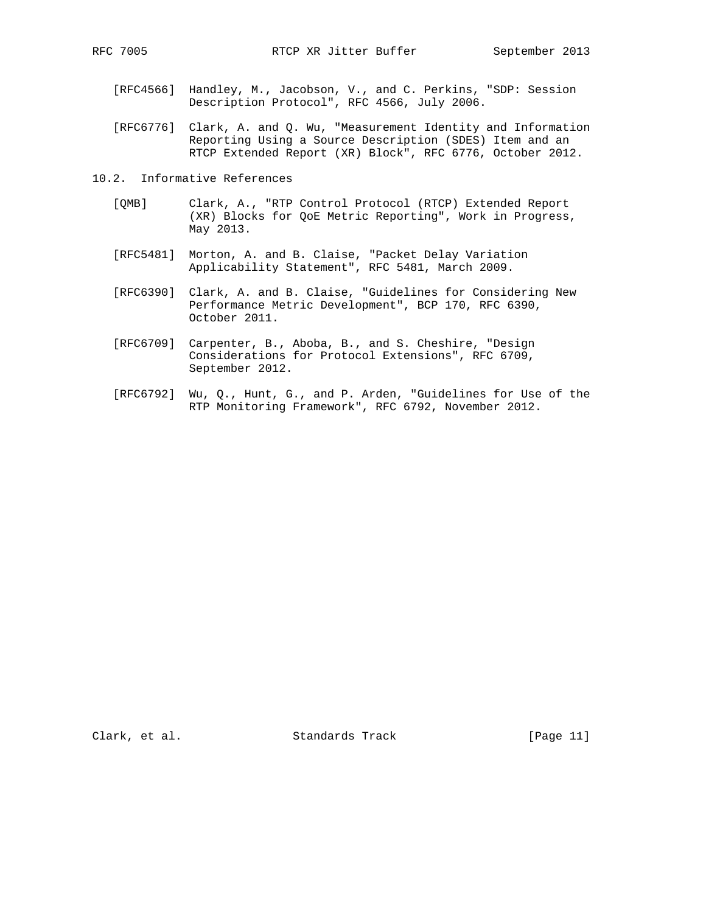- [RFC4566] Handley, M., Jacobson, V., and C. Perkins, "SDP: Session Description Protocol", RFC 4566, July 2006.
- [RFC6776] Clark, A. and Q. Wu, "Measurement Identity and Information Reporting Using a Source Description (SDES) Item and an RTCP Extended Report (XR) Block", RFC 6776, October 2012.
- 10.2. Informative References
	- [QMB] Clark, A., "RTP Control Protocol (RTCP) Extended Report (XR) Blocks for QoE Metric Reporting", Work in Progress, May 2013.
	- [RFC5481] Morton, A. and B. Claise, "Packet Delay Variation Applicability Statement", RFC 5481, March 2009.
	- [RFC6390] Clark, A. and B. Claise, "Guidelines for Considering New Performance Metric Development", BCP 170, RFC 6390, October 2011.
	- [RFC6709] Carpenter, B., Aboba, B., and S. Cheshire, "Design Considerations for Protocol Extensions", RFC 6709, September 2012.
	- [RFC6792] Wu, Q., Hunt, G., and P. Arden, "Guidelines for Use of the RTP Monitoring Framework", RFC 6792, November 2012.

Clark, et al. Standards Track [Page 11]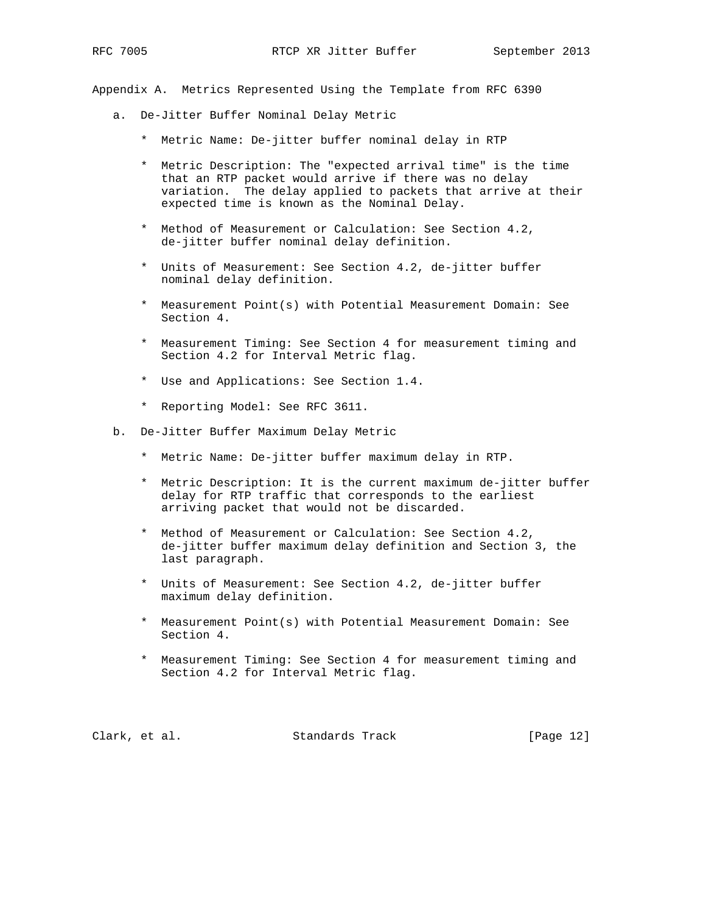Appendix A. Metrics Represented Using the Template from RFC 6390

- a. De-Jitter Buffer Nominal Delay Metric
	- \* Metric Name: De-jitter buffer nominal delay in RTP
	- \* Metric Description: The "expected arrival time" is the time that an RTP packet would arrive if there was no delay variation. The delay applied to packets that arrive at their expected time is known as the Nominal Delay.
	- \* Method of Measurement or Calculation: See Section 4.2, de-jitter buffer nominal delay definition.
	- \* Units of Measurement: See Section 4.2, de-jitter buffer nominal delay definition.
	- \* Measurement Point(s) with Potential Measurement Domain: See Section 4.
	- \* Measurement Timing: See Section 4 for measurement timing and Section 4.2 for Interval Metric flag.
	- \* Use and Applications: See Section 1.4.
	- \* Reporting Model: See RFC 3611.
- b. De-Jitter Buffer Maximum Delay Metric
	- \* Metric Name: De-jitter buffer maximum delay in RTP.
	- \* Metric Description: It is the current maximum de-jitter buffer delay for RTP traffic that corresponds to the earliest arriving packet that would not be discarded.
	- \* Method of Measurement or Calculation: See Section 4.2, de-jitter buffer maximum delay definition and Section 3, the last paragraph.
	- \* Units of Measurement: See Section 4.2, de-jitter buffer maximum delay definition.
	- \* Measurement Point(s) with Potential Measurement Domain: See Section 4.
	- \* Measurement Timing: See Section 4 for measurement timing and Section 4.2 for Interval Metric flag.

Clark, et al. Standards Track [Page 12]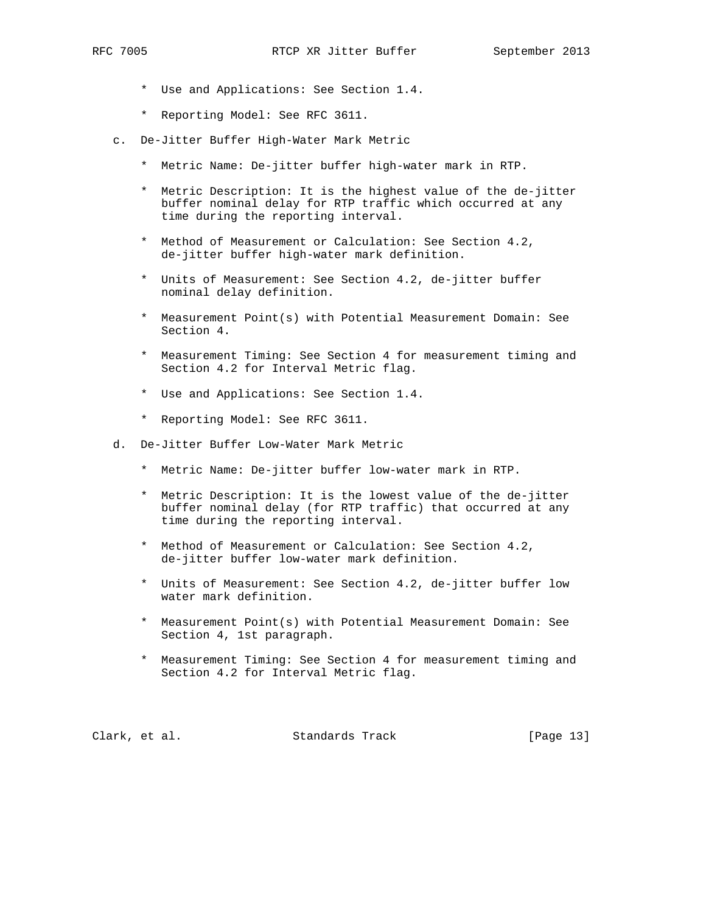- - \* Use and Applications: See Section 1.4.
	- \* Reporting Model: See RFC 3611.
	- c. De-Jitter Buffer High-Water Mark Metric
		- \* Metric Name: De-jitter buffer high-water mark in RTP.
		- \* Metric Description: It is the highest value of the de-jitter buffer nominal delay for RTP traffic which occurred at any time during the reporting interval.
		- \* Method of Measurement or Calculation: See Section 4.2, de-jitter buffer high-water mark definition.
		- \* Units of Measurement: See Section 4.2, de-jitter buffer nominal delay definition.
		- \* Measurement Point(s) with Potential Measurement Domain: See Section 4.
		- \* Measurement Timing: See Section 4 for measurement timing and Section 4.2 for Interval Metric flag.
		- \* Use and Applications: See Section 1.4.
		- \* Reporting Model: See RFC 3611.
	- d. De-Jitter Buffer Low-Water Mark Metric
		- \* Metric Name: De-jitter buffer low-water mark in RTP.
		- \* Metric Description: It is the lowest value of the de-jitter buffer nominal delay (for RTP traffic) that occurred at any time during the reporting interval.
		- \* Method of Measurement or Calculation: See Section 4.2, de-jitter buffer low-water mark definition.
		- \* Units of Measurement: See Section 4.2, de-jitter buffer low water mark definition.
		- \* Measurement Point(s) with Potential Measurement Domain: See Section 4, 1st paragraph.
		- \* Measurement Timing: See Section 4 for measurement timing and Section 4.2 for Interval Metric flag.

Clark, et al. Standards Track [Page 13]